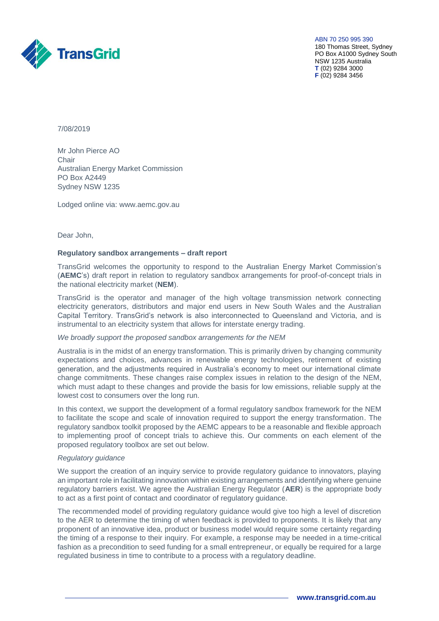

ABN 70 250 995 390

180 Thomas Street, Sydney PO Box A1000 Sydney South NSW 1235 Australia **T** (02) 9284 3000 **F** (02) 9284 3456

7/08/2019

Mr John Pierce AO Chair Australian Energy Market Commission PO Box A2449 Sydney NSW 1235

Lodged online via: [www.aemc.gov.au](http://www.aemc.gov.au/) 

Dear John,

#### **Regulatory sandbox arrangements – draft report**

TransGrid welcomes the opportunity to respond to the Australian Energy Market Commission's (**AEMC**'s) draft report in relation to regulatory sandbox arrangements for proof-of-concept trials in the national electricity market (**NEM**).

TransGrid is the operator and manager of the high voltage transmission network connecting electricity generators, distributors and major end users in New South Wales and the Australian Capital Territory. TransGrid's network is also interconnected to Queensland and Victoria, and is instrumental to an electricity system that allows for interstate energy trading.

### *We broadly support the proposed sandbox arrangements for the NEM*

Australia is in the midst of an energy transformation. This is primarily driven by changing community expectations and choices, advances in renewable energy technologies, retirement of existing generation, and the adjustments required in Australia's economy to meet our international climate change commitments. These changes raise complex issues in relation to the design of the NEM, which must adapt to these changes and provide the basis for low emissions, reliable supply at the lowest cost to consumers over the long run.

In this context, we support the development of a formal regulatory sandbox framework for the NEM to facilitate the scope and scale of innovation required to support the energy transformation. The regulatory sandbox toolkit proposed by the AEMC appears to be a reasonable and flexible approach to implementing proof of concept trials to achieve this. Our comments on each element of the proposed regulatory toolbox are set out below.

# *Regulatory guidance*

We support the creation of an inquiry service to provide regulatory guidance to innovators, playing an important role in facilitating innovation within existing arrangements and identifying where genuine regulatory barriers exist. We agree the Australian Energy Regulator (**AER**) is the appropriate body to act as a first point of contact and coordinator of regulatory guidance.

The recommended model of providing regulatory guidance would give too high a level of discretion to the AER to determine the timing of when feedback is provided to proponents. It is likely that any proponent of an innovative idea, product or business model would require some certainty regarding the timing of a response to their inquiry. For example, a response may be needed in a time-critical fashion as a precondition to seed funding for a small entrepreneur, or equally be required for a large regulated business in time to contribute to a process with a regulatory deadline.